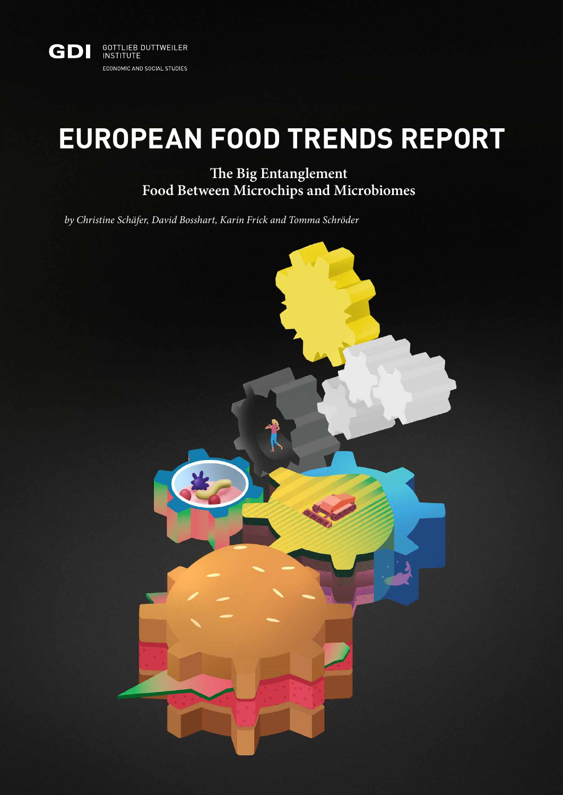

# **EUROPEAN FOOD TRENDS REPORT**

**The Big Entanglement Food Between Microchips and Microbiomes**

*by Christine Schäfer, David Bosshart, Karin Frick and Tomma Schröder*

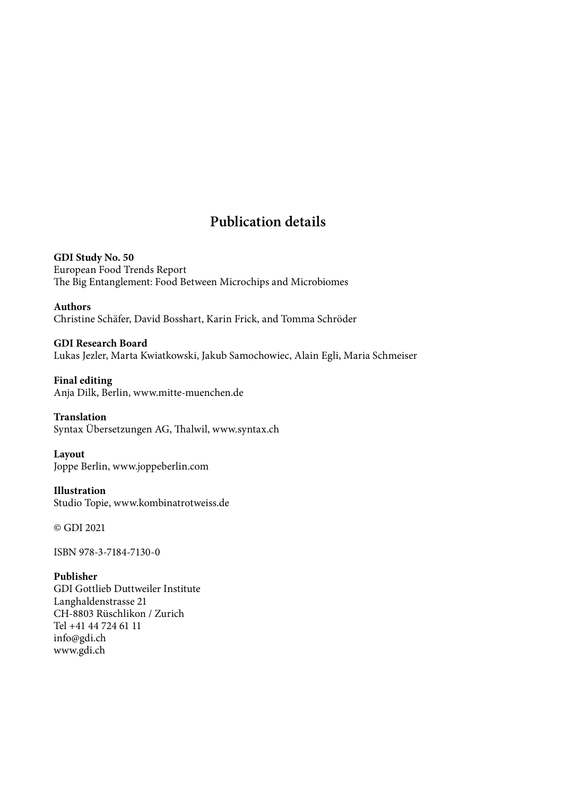## **Publication details**

**GDI Study No. 50** European Food Trends Report The Big Entanglement: Food Between Microchips and Microbiomes

**Authors** Christine Schäfer, David Bosshart, Karin Frick, and Tomma Schröder

**GDI Research Board** Lukas Jezler, Marta Kwiatkowski, Jakub Samochowiec, Alain Egli, Maria Schmeiser

**Final editing** Anja Dilk, Berlin, [www.mitte-muenchen.de](http://mitte-muenchen.de)

**Translation** Syntax Übersetzungen AG, Thalwil, [www.syntax.ch](http://www.syntax.ch)

**Layout** Joppe Berlin, [www.joppeberlin.com](http://www.joppeberlin.com) 

**Illustration** Studio Topie, [www.kombinatrotweiss.de](http://www.kombinatrotweiss.de)

© GDI 2021

ISBN 978-3-7184-7130-0

**Publisher**

GDI Gottlieb Duttweiler Institute Langhaldenstrasse 21 CH-8803 Rüschlikon / Zurich Tel +41 44 724 61 11 [info@gdi.ch](mailto:info@gdi.ch) [www.gdi.ch](http://www.gdi.ch)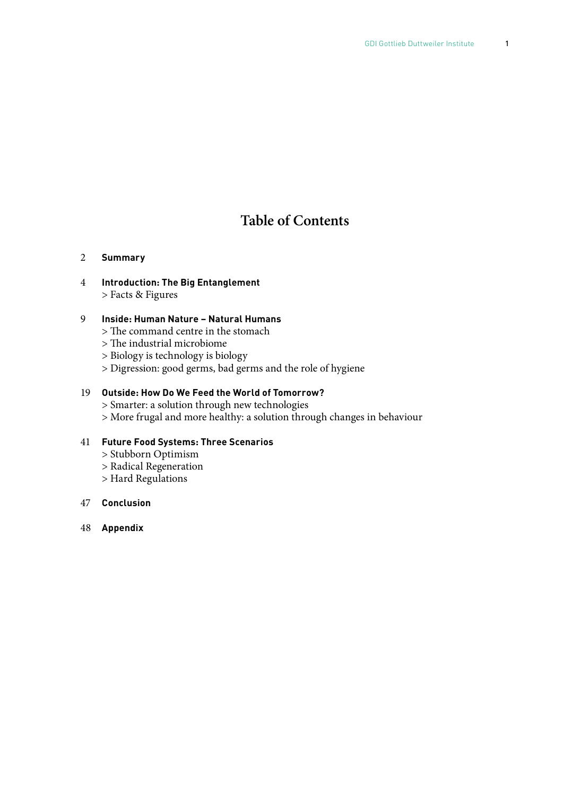## **Table of Contents**

#### 2 **Summary**

4 **Introduction: The Big Entanglement** > Facts & Figures

#### 9 **Inside: Human Nature – Natural Humans**

- > The command centre in the stomach
- > The industrial microbiome
- > Biology is technology is biology
- > Digression: good germs, bad germs and the role of hygiene

#### 19 **Outside: How Do We Feed the World of Tomorrow?**

- > Smarter: a solution through new technologies
- > More frugal and more healthy: a solution through changes in behaviour

#### 41 **Future Food Systems: Three Scenarios**

- > Stubborn Optimism
- > Radical Regeneration
- > Hard Regulations

#### 47 **Conclusion**

48 **Appendix**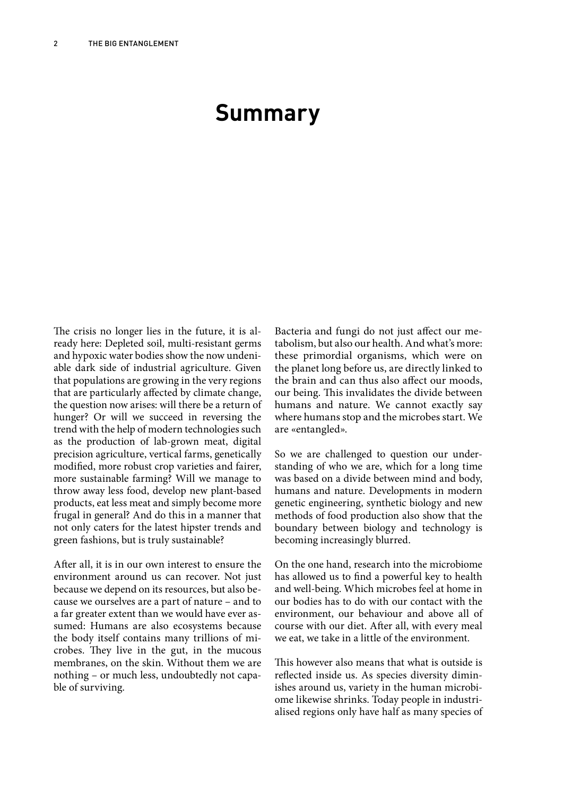# **Summary**

The crisis no longer lies in the future, it is already here: Depleted soil, multi-resistant germs and hypoxic water bodies show the now undeniable dark side of industrial agriculture. Given that populations are growing in the very regions that are particularly affected by climate change, the question now arises: will there be a return of hunger? Or will we succeed in reversing the trend with the help of modern technologies such as the production of lab-grown meat, digital precision agriculture, vertical farms, genetically modified, more robust crop varieties and fairer, more sustainable farming? Will we manage to throw away less food, develop new plant-based products, eat less meat and simply become more frugal in general? And do this in a manner that not only caters for the latest hipster trends and green fashions, but is truly sustainable?

After all, it is in our own interest to ensure the environment around us can recover. Not just because we depend on its resources, but also because we ourselves are a part of nature – and to a far greater extent than we would have ever assumed: Humans are also ecosystems because the body itself contains many trillions of microbes. They live in the gut, in the mucous membranes, on the skin. Without them we are nothing – or much less, undoubtedly not capable of surviving.

Bacteria and fungi do not just affect our metabolism, but also our health. And what's more: these primordial organisms, which were on the planet long before us, are directly linked to the brain and can thus also affect our moods, our being. This invalidates the divide between humans and nature. We cannot exactly say where humans stop and the microbes start. We are «entangled».

So we are challenged to question our understanding of who we are, which for a long time was based on a divide between mind and body, humans and nature. Developments in modern genetic engineering, synthetic biology and new methods of food production also show that the boundary between biology and technology is becoming increasingly blurred.

On the one hand, research into the microbiome has allowed us to find a powerful key to health and well-being. Which microbes feel at home in our bodies has to do with our contact with the environment, our behaviour and above all of course with our diet. After all, with every meal we eat, we take in a little of the environment.

This however also means that what is outside is reflected inside us. As species diversity diminishes around us, variety in the human microbiome likewise shrinks. Today people in industrialised regions only have half as many species of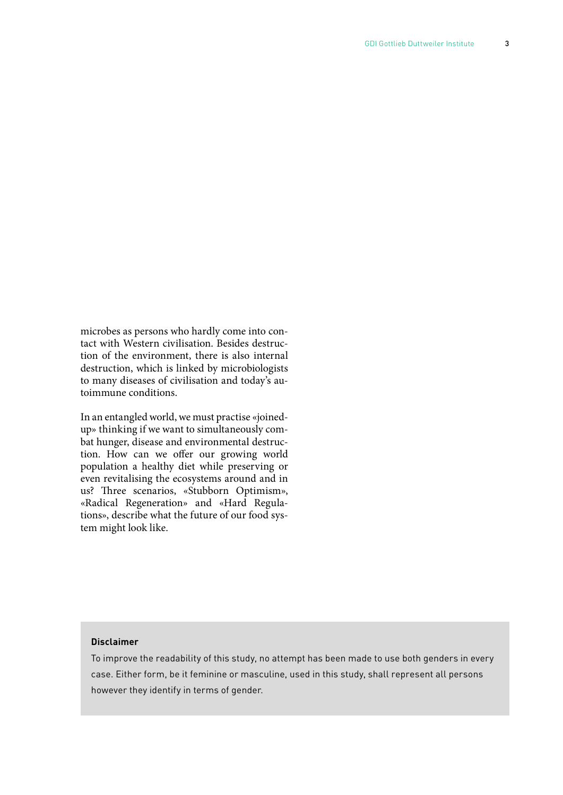microbes as persons who hardly come into contact with Western civilisation. Besides destruction of the environment, there is also internal destruction, which is linked by microbiologists to many diseases of civilisation and today's autoimmune conditions.

In an entangled world, we must practise «joinedup» thinking if we want to simultaneously combat hunger, disease and environmental destruction. How can we offer our growing world population a healthy diet while preserving or even revitalising the ecosystems around and in us? Three scenarios, «Stubborn Optimism», «Radical Regeneration» and «Hard Regulations», describe what the future of our food system might look like.

#### **Disclaimer**

To improve the readability of this study, no attempt has been made to use both genders in every case. Either form, be it feminine or masculine, used in this study, shall represent all persons however they identify in terms of gender.